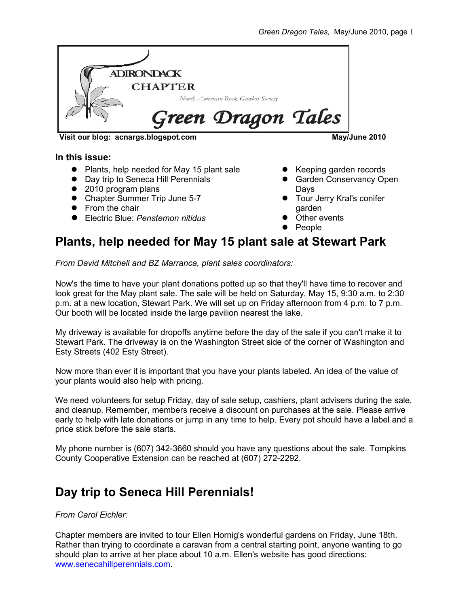

**Visit our blog: acnargs.blogspot.com May/June 2010**

#### **In this issue:**

- Plants, help needed for May 15 plant sale
- Day trip to Seneca Hill Perennials
- 2010 program plans
- Chapter Summer Trip June 5-7
- **•** From the chair
- Electric Blue: *Penstemon nitidus*

- Keeping garden records
- **Garden Conservancy Open** Days
- **Tour Jerry Kral's conifer** garden
- Other events
- People

# **Plants, help needed for May 15 plant sale at Stewart Park**

*From David Mitchell and BZ Marranca, plant sales coordinators:*

Now's the time to have your plant donations potted up so that they'll have time to recover and look great for the May plant sale. The sale will be held on Saturday, May 15, 9:30 a.m. to 2:30 p.m. at a new location, Stewart Park. We will set up on Friday afternoon from 4 p.m. to 7 p.m. Our booth will be located inside the large pavilion nearest the lake.

My driveway is available for dropoffs anytime before the day of the sale if you can't make it to Stewart Park. The driveway is on the Washington Street side of the corner of Washington and Esty Streets (402 Esty Street).

Now more than ever it is important that you have your plants labeled. An idea of the value of your plants would also help with pricing.

We need volunteers for setup Friday, day of sale setup, cashiers, plant advisers during the sale, and cleanup. Remember, members receive a discount on purchases at the sale. Please arrive early to help with late donations or jump in any time to help. Every pot should have a label and a price stick before the sale starts.

My phone number is (607) 342-3660 should you have any questions about the sale. Tompkins County Cooperative Extension can be reached at (607) 272-2292.

# **Day trip to Seneca Hill Perennials!**

*From Carol Eichler:*

Chapter members are invited to tour Ellen Hornig's wonderful gardens on Friday, June 18th. Rather than trying to coordinate a caravan from a central starting point, anyone wanting to go should plan to arrive at her place about 10 a.m. Ellen's website has good directions: [www.senecahillperennials.com.](http://www.senecahillperennials.com/)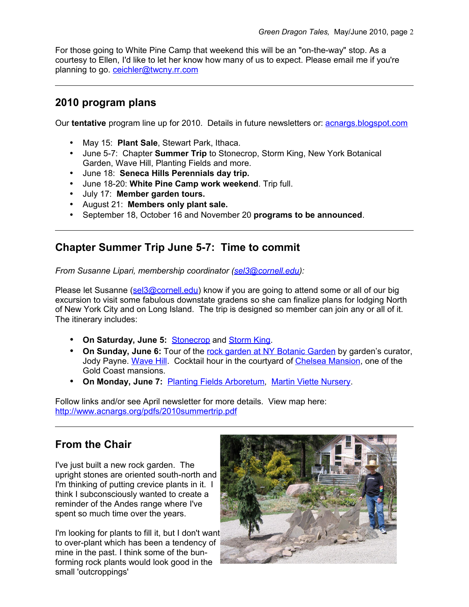For those going to White Pine Camp that weekend this will be an "on-the-way" stop. As a courtesy to Ellen, I'd like to let her know how many of us to expect. Please email me if you're planning to go. [ceichler@twcny.rr.com](mailto:ceichler@twcny.rr.com)

### **2010 program plans**

Our **tentative** program line up for 2010. Details in future newsletters or: [acnargs.blogspot.com](http://acnargs.blogspot.com/)

- May 15: **Plant Sale**, Stewart Park, Ithaca.
- June 5-7: Chapter **Summer Trip** to Stonecrop, Storm King, New York Botanical Garden, Wave Hill, Planting Fields and more.
- June 18: **Seneca Hills Perennials day trip.**
- June 18-20: **White Pine Camp work weekend**. Trip full.
- July 17: **Member garden tours.**
- August 21: **Members only plant sale.**
- September 18, October 16 and November 20 **programs to be announced**.

### **Chapter Summer Trip June 5-7: Time to commit**

*From Susanne Lipari, membership coordinator [\(sel3@cornell.edu\)](mailto:sel3@cornell.edu):*

Please let Susanne [\(sel3@cornell.edu\)](mailto:sel3@cornell.edu) know if you are going to attend some or all of our big excursion to visit some fabulous downstate gradens so she can finalize plans for lodging North of New York City and on Long Island. The trip is designed so member can join any or all of it. The itinerary includes:

- **On Saturday, June 5:** [Stonecrop](http://www.stonecrop.org/) and [Storm King.](http://www.stormking.org/)
- **On Sunday, June 6:** Tour of the [rock garden at NY Botanic Garden](http://www.nybg.org/gardens/test_garden.php?id_gardens_collections=36) by garden's curator, Jody Payne. [Wave Hill.](http://www.wavehill.org/home/) Cocktail hour in the courtyard of [Chelsea Mansion,](http://chelseamansion.com/) one of the Gold Coast mansions.
- **On Monday, June 7:** [Planting Fields Arboretum,](http://www.plantingfields.org/) [Martin Viette Nursery.](http://www.inthegardenradio.com/)

Follow links and/or see April newsletter for more details. View map here: <http://www.acnargs.org/pdfs/2010summertrip.pdf>

## **From the Chair**

I've just built a new rock garden. The upright stones are oriented south-north and I'm thinking of putting crevice plants in it. I think I subconsciously wanted to create a reminder of the Andes range where I've spent so much time over the years.

I'm looking for plants to fill it, but I don't want to over-plant which has been a tendency of mine in the past. I think some of the bunforming rock plants would look good in the small 'outcroppings'

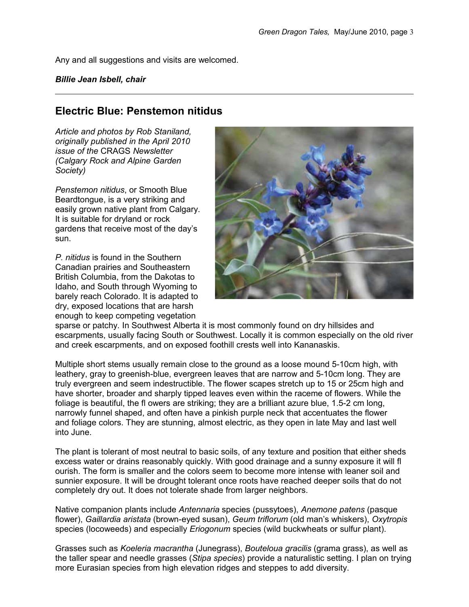Any and all suggestions and visits are welcomed.

#### *Billie Jean Isbell, chair*

#### **Electric Blue: Penstemon nitidus**

*Article and photos by Rob Staniland, originally published in the April 2010 issue of the* CRAGS *Newsletter (Calgary Rock and Alpine Garden Society)* 

*Penstemon nitidus*, or Smooth Blue Beardtongue, is a very striking and easily grown native plant from Calgary. It is suitable for dryland or rock gardens that receive most of the day's sun.

*P. nitidus* is found in the Southern Canadian prairies and Southeastern British Columbia, from the Dakotas to Idaho, and South through Wyoming to barely reach Colorado. It is adapted to dry, exposed locations that are harsh enough to keep competing vegetation



sparse or patchy. In Southwest Alberta it is most commonly found on dry hillsides and escarpments, usually facing South or Southwest. Locally it is common especially on the old river and creek escarpments, and on exposed foothill crests well into Kananaskis.

Multiple short stems usually remain close to the ground as a loose mound 5-10cm high, with leathery, gray to greenish-blue, evergreen leaves that are narrow and 5-10cm long. They are truly evergreen and seem indestructible. The flower scapes stretch up to 15 or 25cm high and have shorter, broader and sharply tipped leaves even within the raceme of flowers. While the foliage is beautiful, the fl owers are striking; they are a brilliant azure blue, 1.5-2 cm long, narrowly funnel shaped, and often have a pinkish purple neck that accentuates the flower and foliage colors. They are stunning, almost electric, as they open in late May and last well into June.

The plant is tolerant of most neutral to basic soils, of any texture and position that either sheds excess water or drains reasonably quickly. With good drainage and a sunny exposure it will fl ourish. The form is smaller and the colors seem to become more intense with leaner soil and sunnier exposure. It will be drought tolerant once roots have reached deeper soils that do not completely dry out. It does not tolerate shade from larger neighbors.

Native companion plants include *Antennaria* species (pussytoes), *Anemone patens* (pasque flower), *Gaillardia aristata* (brown-eyed susan), *Geum triflorum* (old man's whiskers), *Oxytropis* species (locoweeds) and especially *Eriogonum* species (wild buckwheats or sulfur plant).

Grasses such as *Koeleria macrantha* (Junegrass), *Bouteloua gracilis* (grama grass), as well as the taller spear and needle grasses (*Stipa species*) provide a naturalistic setting. I plan on trying more Eurasian species from high elevation ridges and steppes to add diversity.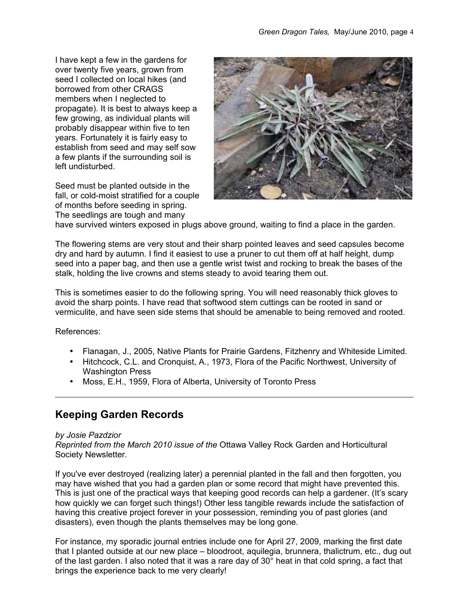I have kept a few in the gardens for over twenty five years, grown from seed I collected on local hikes (and borrowed from other CRAGS members when I neglected to propagate). It is best to always keep a few growing, as individual plants will probably disappear within five to ten years. Fortunately it is fairly easy to establish from seed and may self sow a few plants if the surrounding soil is left undisturbed.

Seed must be planted outside in the fall, or cold-moist stratified for a couple of months before seeding in spring. The seedlings are tough and many



have survived winters exposed in plugs above ground, waiting to find a place in the garden.

The flowering stems are very stout and their sharp pointed leaves and seed capsules become dry and hard by autumn. I find it easiest to use a pruner to cut them off at half height, dump seed into a paper bag, and then use a gentle wrist twist and rocking to break the bases of the stalk, holding the live crowns and stems steady to avoid tearing them out.

This is sometimes easier to do the following spring. You will need reasonably thick gloves to avoid the sharp points. I have read that softwood stem cuttings can be rooted in sand or vermiculite, and have seen side stems that should be amenable to being removed and rooted.

References:

- Flanagan, J., 2005, Native Plants for Prairie Gardens, Fitzhenry and Whiteside Limited.
- Hitchcock, C.L. and Cronquist, A., 1973, Flora of the Pacific Northwest, University of Washington Press
- Moss, E.H., 1959, Flora of Alberta, University of Toronto Press

### **Keeping Garden Records**

#### *by Josie Pazdzior*

*Reprinted from the March 2010 issue of the* Ottawa Valley Rock Garden and Horticultural Society Newsletter*.*

If you've ever destroyed (realizing later) a perennial planted in the fall and then forgotten, you may have wished that you had a garden plan or some record that might have prevented this. This is just one of the practical ways that keeping good records can help a gardener. (It's scary how quickly we can forget such things!) Other less tangible rewards include the satisfaction of having this creative project forever in your possession, reminding you of past glories (and disasters), even though the plants themselves may be long gone.

For instance, my sporadic journal entries include one for April 27, 2009, marking the first date that I planted outside at our new place – bloodroot, aquilegia, brunnera, thalictrum, etc., dug out of the last garden. I also noted that it was a rare day of 30° heat in that cold spring, a fact that brings the experience back to me very clearly!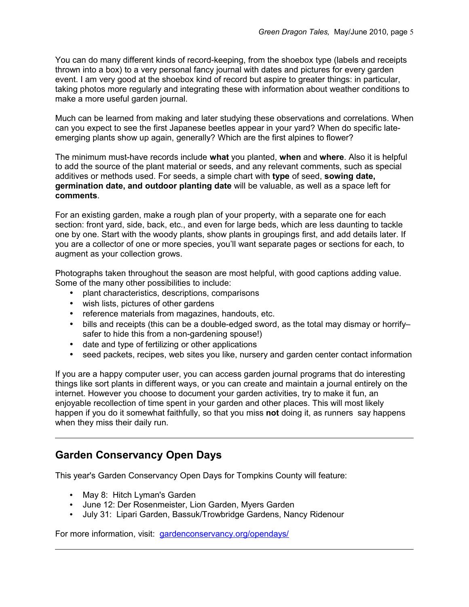You can do many different kinds of record-keeping, from the shoebox type (labels and receipts thrown into a box) to a very personal fancy journal with dates and pictures for every garden event. I am very good at the shoebox kind of record but aspire to greater things: in particular, taking photos more regularly and integrating these with information about weather conditions to make a more useful garden journal.

Much can be learned from making and later studying these observations and correlations. When can you expect to see the first Japanese beetles appear in your yard? When do specific lateemerging plants show up again, generally? Which are the first alpines to flower?

The minimum must-have records include **what** you planted, **when** and **where**. Also it is helpful to add the source of the plant material or seeds, and any relevant comments, such as special additives or methods used. For seeds, a simple chart with **type** of seed, **sowing date, germination date, and outdoor planting date** will be valuable, as well as a space left for **comments**.

For an existing garden, make a rough plan of your property, with a separate one for each section: front yard, side, back, etc., and even for large beds, which are less daunting to tackle one by one. Start with the woody plants, show plants in groupings first, and add details later. If you are a collector of one or more species, you'll want separate pages or sections for each, to augment as your collection grows.

Photographs taken throughout the season are most helpful, with good captions adding value. Some of the many other possibilities to include:

- plant characteristics, descriptions, comparisons
- wish lists, pictures of other gardens
- reference materials from magazines, handouts, etc.
- bills and receipts (this can be a double-edged sword, as the total may dismay or horrifysafer to hide this from a non-gardening spouse!)
- date and type of fertilizing or other applications
- seed packets, recipes, web sites you like, nursery and garden center contact information

If you are a happy computer user, you can access garden journal programs that do interesting things like sort plants in different ways, or you can create and maintain a journal entirely on the internet. However you choose to document your garden activities, try to make it fun, an enjoyable recollection of time spent in your garden and other places. This will most likely happen if you do it somewhat faithfully, so that you miss **not** doing it, as runnerssay happens when they miss their daily run.

## **Garden Conservancy Open Days**

This year's Garden Conservancy Open Days for Tompkins County will feature:

- May 8: Hitch Lyman's Garden
- June 12: Der Rosenmeister, Lion Garden, Myers Garden
- July 31: Lipari Garden, Bassuk/Trowbridge Gardens, Nancy Ridenour

For more information, visit: [gardenconservancy.org/opendays/](http://gardenconservancy.org/opendays/)